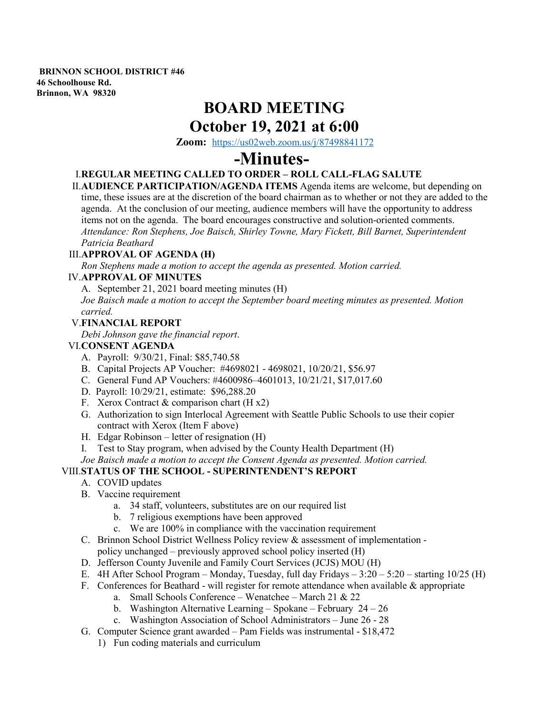**BRINNON SCHOOL DISTRICT #46 46 Schoolhouse Rd. Brinnon, WA 98320**

## **BOARD MEETING October 19, 2021 at 6:00**

**Zoom:** <https://us02web.zoom.us/j/87498841172>

# **-Minutes-**

### I.**REGULAR MEETING CALLED TO ORDER – ROLL CALL-FLAG SALUTE**

II.**AUDIENCE PARTICIPATION/AGENDA ITEMS** Agenda items are welcome, but depending on time, these issues are at the discretion of the board chairman as to whether or not they are added to the agenda. At the conclusion of our meeting, audience members will have the opportunity to address items not on the agenda. The board encourages constructive and solution-oriented comments. *Attendance: Ron Stephens, Joe Baisch, Shirley Towne, Mary Fickett, Bill Barnet, Superintendent Patricia Beathard* 

#### III.**APPROVAL OF AGENDA (H)**

*Ron Stephens made a motion to accept the agenda as presented. Motion carried.* 

#### IV.**APPROVAL OF MINUTES**

A. September 21, 2021 board meeting minutes (H)

*Joe Baisch made a motion to accept the September board meeting minutes as presented. Motion carried.*

#### V.**FINANCIAL REPORT**

*Debi Johnson gave the financial report*.

#### VI.**CONSENT AGENDA**

- A. Payroll: 9/30/21, Final: \$85,740.58
- B. Capital Projects AP Voucher: #4698021 4698021, 10/20/21, \$56.97
- C. General Fund AP Vouchers: #4600986–4601013, 10/21/21, \$17,017.60
- D. Payroll: 10/29/21, estimate: \$96,288.20
- F. Xerox Contract  $&$  comparison chart (H x2)
- G. Authorization to sign Interlocal Agreement with Seattle Public Schools to use their copier contract with Xerox (Item F above)
- H. Edgar Robinson letter of resignation (H)
- I. Test to Stay program, when advised by the County Health Department (H)
- *Joe Baisch made a motion to accept the Consent Agenda as presented. Motion carried.*

#### VIII.**STATUS OF THE SCHOOL - SUPERINTENDENT'S REPORT**

- A. COVID updates
- B. Vaccine requirement
	- a. 34 staff, volunteers, substitutes are on our required list
	- b. 7 religious exemptions have been approved
	- c. We are 100% in compliance with the vaccination requirement
- C. Brinnon School District Wellness Policy review & assessment of implementation
	- policy unchanged previously approved school policy inserted (H)
- D. Jefferson County Juvenile and Family Court Services (JCJS) MOU (H)
- E. 4H After School Program Monday, Tuesday, full day Fridays 3:20 5:20 starting 10/25 (H)
- F. Conferences for Beathard will register for remote attendance when available  $\&$  appropriate
	- a. Small Schools Conference Wenatchee March 21 & 22
	- b. Washington Alternative Learning Spokane February  $24 26$
	- c. Washington Association of School Administrators June 26 28
- G. Computer Science grant awarded Pam Fields was instrumental \$18,472
	- 1) Fun coding materials and curriculum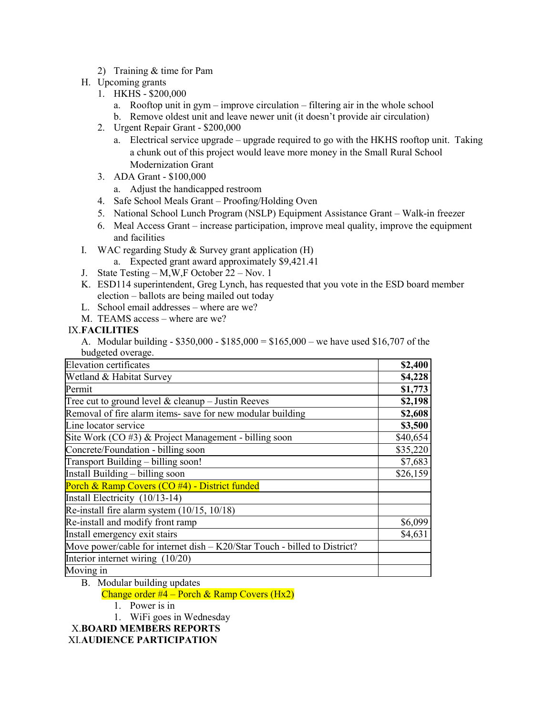2) Training & time for Pam

#### H. Upcoming grants

- 1. HKHS \$200,000
	- a. Rooftop unit in gym improve circulation filtering air in the whole school
	- b. Remove oldest unit and leave newer unit (it doesn't provide air circulation)
- 2. Urgent Repair Grant \$200,000
	- a. Electrical service upgrade upgrade required to go with the HKHS rooftop unit. Taking a chunk out of this project would leave more money in the Small Rural School Modernization Grant
- 3. ADA Grant \$100,000
	- a. Adjust the handicapped restroom
- 4. Safe School Meals Grant Proofing/Holding Oven
- 5. National School Lunch Program (NSLP) Equipment Assistance Grant Walk-in freezer
- 6. Meal Access Grant increase participation, improve meal quality, improve the equipment and facilities
- I. WAC regarding Study & Survey grant application (H)
	- a. Expected grant award approximately \$9,421.41
- J. State Testing M,W,F October 22 Nov. 1
- K. ESD114 superintendent, Greg Lynch, has requested that you vote in the ESD board member election – ballots are being mailed out today
- L. School email addresses where are we?
- M. TEAMS access where are we?

#### IX.**FACILITIES**

A. Modular building - \$350,000 - \$185,000 = \$165,000 – we have used \$16,707 of the budgeted overage.

| <b>Elevation certificates</b>                                             | \$2,400  |
|---------------------------------------------------------------------------|----------|
| Wetland & Habitat Survey                                                  | \$4,228  |
| Permit                                                                    | \$1,773  |
| Tree cut to ground level $&$ cleanup – Justin Reeves                      | \$2,198  |
| Removal of fire alarm items- save for new modular building                | \$2,608  |
| Line locator service                                                      | \$3,500  |
| Site Work $(CO \#3)$ & Project Management - billing soon                  | \$40,654 |
| Concrete/Foundation - billing soon                                        | \$35,220 |
| Transport Building - billing soon!                                        | \$7,683  |
| Install Building – billing soon                                           | \$26,159 |
| Porch & Ramp Covers (CO #4) - District funded                             |          |
| Install Electricity (10/13-14)                                            |          |
| Re-install fire alarm system $(10/15, 10/18)$                             |          |
| Re-install and modify front ramp                                          | \$6,099  |
| Install emergency exit stairs                                             | \$4,631  |
| Move power/cable for internet dish – K20/Star Touch - billed to District? |          |
| Interior internet wiring (10/20)                                          |          |
| Moving in                                                                 |          |

- B. Modular building updates
	- Change order  $#$ <sup>4</sup> Porch & Ramp Covers (Hx2)
		- 1. Power is in
		- 1. WiFi goes in Wednesday

X.**BOARD MEMBERS REPORTS**

XI.**AUDIENCE PARTICIPATION**